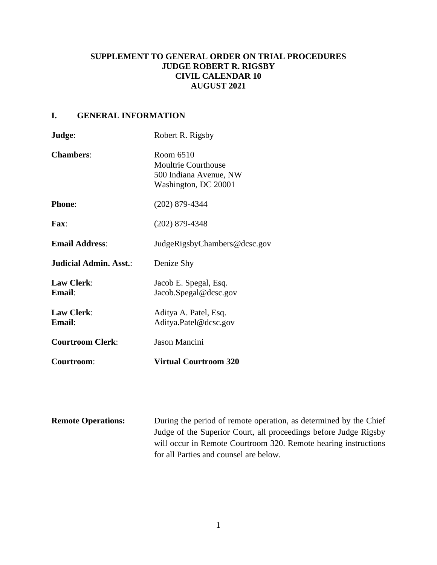# **SUPPLEMENT TO GENERAL ORDER ON TRIAL PROCEDURES JUDGE ROBERT R. RIGSBY CIVIL CALENDAR 10 AUGUST 2021**

# **I. GENERAL INFORMATION**

| Judge:                      | Robert R. Rigsby                                                                          |
|-----------------------------|-------------------------------------------------------------------------------------------|
| <b>Chambers:</b>            | Room 6510<br><b>Moultrie Courthouse</b><br>500 Indiana Avenue, NW<br>Washington, DC 20001 |
| <b>Phone:</b>               | $(202)$ 879-4344                                                                          |
| Fax:                        | $(202)$ 879-4348                                                                          |
| <b>Email Address:</b>       | JudgeRigsbyChambers@dcsc.gov                                                              |
| Judicial Admin. Asst.:      | Denize Shy                                                                                |
| <b>Law Clerk:</b><br>Email: | Jacob E. Spegal, Esq.<br>Jacob.Spegal@dcsc.gov                                            |
| <b>Law Clerk:</b><br>Email: | Aditya A. Patel, Esq.<br>Aditya.Patel@dcsc.gov                                            |
| <b>Courtroom Clerk:</b>     | Jason Mancini                                                                             |
| Courtroom:                  | <b>Virtual Courtroom 320</b>                                                              |

| <b>Remote Operations:</b> | During the period of remote operation, as determined by the Chief |
|---------------------------|-------------------------------------------------------------------|
|                           | Judge of the Superior Court, all proceedings before Judge Rigsby  |
|                           | will occur in Remote Courtroom 320. Remote hearing instructions   |
|                           | for all Parties and counsel are below.                            |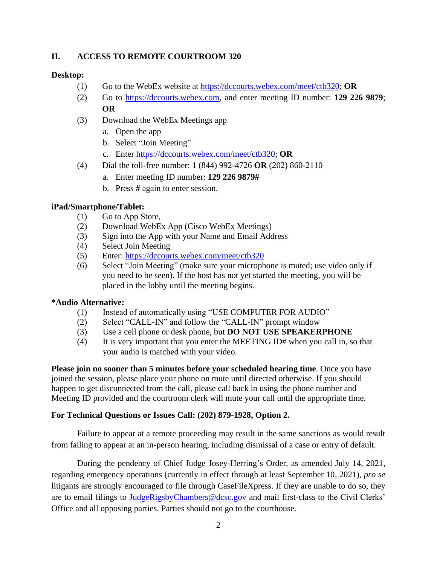## **II. ACCESS TO REMOTE COURTROOM 320**

## **Desktop:**

- (1) Go to the WebEx website at [https://dccourts.webex.com/meet/ctb320;](https://dccourts.webex.com/meet/ctb320) **OR**
- (2) Go to [https://dccourts.webex.com,](https://dccourts.webex.com/) and enter meeting ID number: **129 226 9879**; **OR**
- (3) Download the WebEx Meetings app
	- a. Open the app
	- b. Select "Join Meeting"
	- c. Enter [https://dccourts.webex.com/meet/ctb320;](https://dccourts.webex.com/meet/ctb320) **OR**
- (4) Dial the toll-free number: 1 (844) 992-4726 **OR** (202) 860-2110
	- a. Enter meeting ID number: **129 226 9879#**
	- b. Press **#** again to enter session.

### **iPad/Smartphone/Tablet:**

- (1) Go to App Store,
- (2) Download WebEx App (Cisco WebEx Meetings)
- (3) Sign into the App with your Name and Email Address
- (4) Select Join Meeting
- (5) Enter:<https://dccourts.webex.com/meet/ctb320>
- (6) Select "Join Meeting" (make sure your microphone is muted; use video only if you need to be seen). If the host has not yet started the meeting, you will be placed in the lobby until the meeting begins.

#### **\*Audio Alternative:**

- (1) Instead of automatically using "USE COMPUTER FOR AUDIO"
- (2) Select "CALL-IN" and follow the "CALL-IN" prompt window
- (3) Use a cell phone or desk phone, but **DO NOT USE SPEAKERPHONE**
- (4) It is very important that you enter the MEETING ID# when you call in, so that your audio is matched with your video.

**Please join no sooner than 5 minutes before your scheduled hearing time**. Once you have joined the session, please place your phone on mute until directed otherwise. If you should happen to get disconnected from the call, please call back in using the phone number and Meeting ID provided and the courtroom clerk will mute your call until the appropriate time.

#### **For Technical Questions or Issues Call: (202) 879-1928, Option 2.**

Failure to appear at a remote proceeding may result in the same sanctions as would result from failing to appear at an in-person hearing, including dismissal of a case or entry of default.

During the pendency of Chief Judge Josey-Herring's Order, as amended July 14, 2021, regarding emergency operations (currently in effect through at least September 10, 2021), *pro se* litigants are strongly encouraged to file through CaseFileXpress. If they are unable to do so, they are to email filings to [JudgeRigsbyChambers@dcsc.gov](mailto:JudgeRigsbyChambers@dcsc.gov) and mail first-class to the Civil Clerks' Office and all opposing parties. Parties should not go to the courthouse.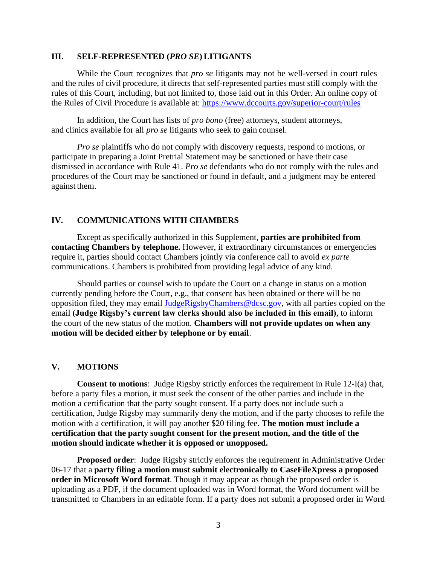#### **III. SELF-REPRESENTED (***PRO SE***) LITIGANTS**

While the Court recognizes that *pro se* litigants may not be well-versed in court rules and the rules of civil procedure, it directs that self-represented parties must still comply with the rules of this Court, including, but not limited to, those laid out in this Order. An online copy of the Rules of Civil Procedure is available at:<https://www.dccourts.gov/superior-court/rules>

In addition, the Court has lists of *pro bono* (free) attorneys, student attorneys, and clinics available for all *pro se* litigants who seek to gain counsel.

*Pro se* plaintiffs who do not comply with discovery requests, respond to motions, or participate in preparing a Joint Pretrial Statement may be sanctioned or have their case dismissed in accordance with Rule 41. *Pro se* defendants who do not comply with the rules and procedures of the Court may be sanctioned or found in default, and a judgment may be entered against them.

#### **IV. COMMUNICATIONS WITH CHAMBERS**

Except as specifically authorized in this Supplement, **parties are prohibited from contacting Chambers by telephone.** However, if extraordinary circumstances or emergencies require it, parties should contact Chambers jointly via conference call to avoid *ex parte*  communications. Chambers is prohibited from providing legal advice of any kind.

Should parties or counsel wish to update the Court on a change in status on a motion currently pending before the Court, e.g., that consent has been obtained or there will be no opposition filed, they may email [JudgeRigsbyChambers@dcsc.gov,](mailto:JudgeRigsbyChambers@dcsc.gov) with all parties copied on the email **(Judge Rigsby's current law clerks should also be included in this email)**, to inform the court of the new status of the motion. **Chambers will not provide updates on when any motion will be decided either by telephone or by email**.

#### **V. MOTIONS**

**Consent to motions**: Judge Rigsby strictly enforces the requirement in Rule 12-I(a) that, before a party files a motion, it must seek the consent of the other parties and include in the motion a certification that the party sought consent. If a party does not include such a certification, Judge Rigsby may summarily deny the motion, and if the party chooses to refile the motion with a certification, it will pay another \$20 filing fee. **The motion must include a certification that the party sought consent for the present motion, and the title of the motion should indicate whether it is opposed or unopposed.**

**Proposed order**: Judge Rigsby strictly enforces the requirement in Administrative Order 06-17 that a **party filing a motion must submit electronically to CaseFileXpress a proposed order in Microsoft Word format**. Though it may appear as though the proposed order is uploading as a PDF, if the document uploaded was in Word format, the Word document will be transmitted to Chambers in an editable form. If a party does not submit a proposed order in Word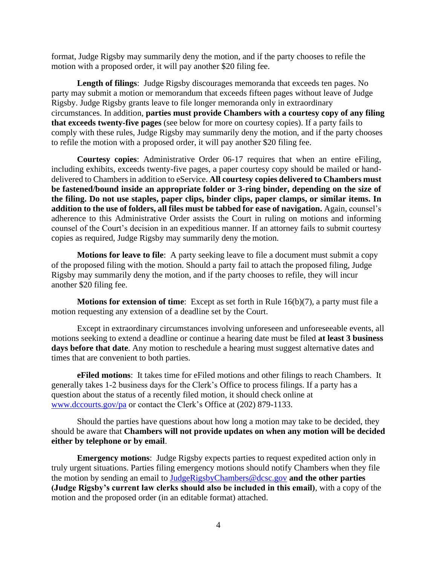format, Judge Rigsby may summarily deny the motion, and if the party chooses to refile the motion with a proposed order, it will pay another \$20 filing fee.

**Length of filings**: Judge Rigsby discourages memoranda that exceeds ten pages. No party may submit a motion or memorandum that exceeds fifteen pages without leave of Judge Rigsby. Judge Rigsby grants leave to file longer memoranda only in extraordinary circumstances. In addition, **parties must provide Chambers with a courtesy copy of any filing that exceeds twenty-five pages** (see below for more on courtesy copies). If a party fails to comply with these rules, Judge Rigsby may summarily deny the motion, and if the party chooses to refile the motion with a proposed order, it will pay another \$20 filing fee.

**Courtesy copies**: Administrative Order 06-17 requires that when an entire eFiling, including exhibits, exceeds twenty-five pages, a paper courtesy copy should be mailed or handdelivered to Chambers in addition to eService. **All courtesy copies delivered to Chambers must be fastened/bound inside an appropriate folder or 3-ring binder, depending on the size of the filing. Do not use staples, paper clips, binder clips, paper clamps, or similar items. In addition to the use of folders, all files must be tabbed for ease of navigation.** Again, counsel's adherence to this Administrative Order assists the Court in ruling on motions and informing counsel of the Court's decision in an expeditious manner. If an attorney fails to submit courtesy copies as required, Judge Rigsby may summarily deny the motion.

**Motions for leave to file**: A party seeking leave to file a document must submit a copy of the proposed filing with the motion. Should a party fail to attach the proposed filing, Judge Rigsby may summarily deny the motion, and if the party chooses to refile, they will incur another \$20 filing fee.

**Motions for extension of time**: Except as set forth in Rule 16(b)(7), a party must file a motion requesting any extension of a deadline set by the Court.

Except in extraordinary circumstances involving unforeseen and unforeseeable events, all motions seeking to extend a deadline or continue a hearing date must be filed **at least 3 business days before that date**. Any motion to reschedule a hearing must suggest alternative dates and times that are convenient to both parties.

**eFiled motions**: It takes time for eFiled motions and other filings to reach Chambers. It generally takes 1-2 business days for the Clerk's Office to process filings. If a party has a question about the status of a recently filed motion, it should check online at [www.dccourts.gov/pa](http://www.dccourts.gov/pa) or contact the Clerk's Office at (202) 879-1133.

Should the parties have questions about how long a motion may take to be decided, they should be aware that **Chambers will not provide updates on when any motion will be decided either by telephone or by email**.

**Emergency motions**: Judge Rigsby expects parties to request expedited action only in truly urgent situations. Parties filing emergency motions should notify Chambers when they file the motion by sending an email to [JudgeRigsbyChambers@dcsc.gov](mailto:JudgeRigsbyChambers@dcsc.gov) **and the other parties (Judge Rigsby's current law clerks should also be included in this email)**, with a copy of the motion and the proposed order (in an editable format) attached.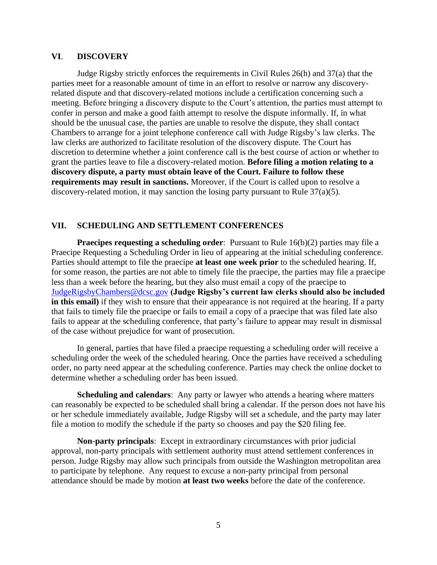#### **VI**. **DISCOVERY**

Judge Rigsby strictly enforces the requirements in Civil Rules 26(h) and 37(a) that the parties meet for a reasonable amount of time in an effort to resolve or narrow any discoveryrelated dispute and that discovery-related motions include a certification concerning such a meeting. Before bringing a discovery dispute to the Court's attention, the parties must attempt to confer in person and make a good faith attempt to resolve the dispute informally. If, in what should be the unusual case, the parties are unable to resolve the dispute, they shall contact Chambers to arrange for a joint telephone conference call with Judge Rigsby's law clerks. The law clerks are authorized to facilitate resolution of the discovery dispute. The Court has discretion to determine whether a joint conference call is the best course of action or whether to grant the parties leave to file a discovery-related motion. **Before filing a motion relating to a discovery dispute, a party must obtain leave of the Court. Failure to follow these requirements may result in sanctions.** Moreover, if the Court is called upon to resolve a discovery-related motion, it may sanction the losing party pursuant to Rule 37(a)(5).

### **VII. SCHEDULING AND SETTLEMENT CONFERENCES**

**Praecipes requesting a scheduling order**: Pursuant to Rule 16(b)(2) parties may file a Praecipe Requesting a Scheduling Order in lieu of appearing at the initial scheduling conference. Parties should attempt to file the praecipe **at least one week prior** to the scheduled hearing. If, for some reason, the parties are not able to timely file the praecipe, the parties may file a praecipe less than a week before the hearing, but they also must email a copy of the praecipe to [JudgeRigsbyChambers@dcsc.gov](mailto:JudgeRigsbyChambers@dcsc.gov) **(Judge Rigsby's current law clerks should also be included in this email)** if they wish to ensure that their appearance is not required at the hearing. If a party that fails to timely file the praecipe or fails to email a copy of a praecipe that was filed late also fails to appear at the scheduling conference, that party's failure to appear may result in dismissal of the case without prejudice for want of prosecution.

In general, parties that have filed a praecipe requesting a scheduling order will receive a scheduling order the week of the scheduled hearing. Once the parties have received a scheduling order, no party need appear at the scheduling conference. Parties may check the online docket to determine whether a scheduling order has been issued.

**Scheduling and calendars**: Any party or lawyer who attends a hearing where matters can reasonably be expected to be scheduled shall bring a calendar. If the person does not have his or her schedule immediately available, Judge Rigsby will set a schedule, and the party may later file a motion to modify the schedule if the party so chooses and pay the \$20 filing fee.

**Non-party principals**: Except in extraordinary circumstances with prior judicial approval, non-party principals with settlement authority must attend settlement conferences in person. Judge Rigsby may allow such principals from outside the Washington metropolitan area to participate by telephone. Any request to excuse a non-party principal from personal attendance should be made by motion **at least two weeks** before the date of the conference.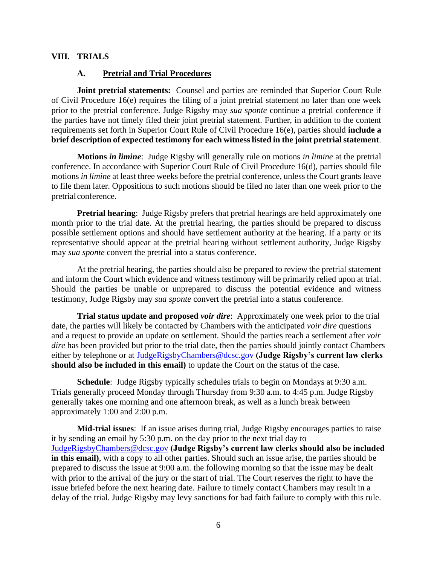## **VIII. TRIALS**

#### **A. Pretrial and Trial Procedures**

**Joint pretrial statements:** Counsel and parties are reminded that Superior Court Rule of Civil Procedure 16(e) requires the filing of a joint pretrial statement no later than one week prior to the pretrial conference. Judge Rigsby may *sua sponte* continue a pretrial conference if the parties have not timely filed their joint pretrial statement. Further, in addition to the content requirements set forth in Superior Court Rule of Civil Procedure 16(e), parties should **include a brief description of expected testimony for each witness listed in the joint pretrial statement**.

**Motions** *in limine*: Judge Rigsby will generally rule on motions *in limine* at the pretrial conference. In accordance with Superior Court Rule of Civil Procedure 16(d), parties should file motions *in limine* at least three weeks before the pretrial conference, unless the Court grants leave to file them later. Oppositions to such motions should be filed no later than one week prior to the pretrial conference.

**Pretrial hearing**: Judge Rigsby prefers that pretrial hearings are held approximately one month prior to the trial date. At the pretrial hearing, the parties should be prepared to discuss possible settlement options and should have settlement authority at the hearing. If a party or its representative should appear at the pretrial hearing without settlement authority, Judge Rigsby may *sua sponte* convert the pretrial into a status conference.

At the pretrial hearing, the parties should also be prepared to review the pretrial statement and inform the Court which evidence and witness testimony will be primarily relied upon at trial. Should the parties be unable or unprepared to discuss the potential evidence and witness testimony, Judge Rigsby may *sua sponte* convert the pretrial into a status conference.

**Trial status update and proposed** *voir dire*: Approximately one week prior to the trial date, the parties will likely be contacted by Chambers with the anticipated *voir dire* questions and a request to provide an update on settlement. Should the parties reach a settlement after *voir dire* has been provided but prior to the trial date, then the parties should jointly contact Chambers either by telephone or at [JudgeRigsbyChambers@dcsc.gov](mailto:JudgeRigsbyChambers@dcsc.gov) **(Judge Rigsby's current law clerks should also be included in this email)** to update the Court on the status of the case.

**Schedule**: Judge Rigsby typically schedules trials to begin on Mondays at 9:30 a.m. Trials generally proceed Monday through Thursday from 9:30 a.m. to 4:45 p.m. Judge Rigsby generally takes one morning and one afternoon break, as well as a lunch break between approximately 1:00 and 2:00 p.m.

**Mid-trial issues**: If an issue arises during trial, Judge Rigsby encourages parties to raise it by sending an email by 5:30 p.m. on the day prior to the next trial day to [JudgeRigsbyChambers@dcsc.gov](mailto:JudgeRigsbyChambers@dcsc.gov) **(Judge Rigsby's current law clerks should also be included in this email)**, with a copy to all other parties. Should such an issue arise, the parties should be prepared to discuss the issue at 9:00 a.m. the following morning so that the issue may be dealt with prior to the arrival of the jury or the start of trial. The Court reserves the right to have the issue briefed before the next hearing date. Failure to timely contact Chambers may result in a delay of the trial. Judge Rigsby may levy sanctions for bad faith failure to comply with this rule.